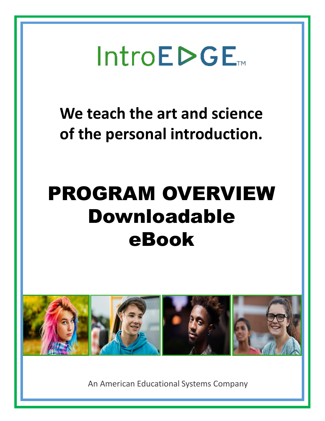

**We teach the art and science of the personal introduction.**

# PROGRAM OVERVIEW Downloadable eBook



An American Educational Systems Company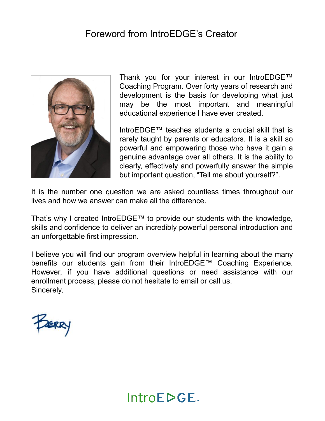#### Foreword from IntroEDGE's Creator



Thank you for your interest in our IntroEDGE™ Coaching Program. Over forty years of research and development is the basis for developing what just may be the most important and meaningful educational experience I have ever created.

IntroEDGE<sup>TM</sup> teaches students a crucial skill that is rarely taught by parents or educators. It is a skill so powerful and empowering those who have it gain a genuine advantage over all others. It is the ability to clearly, effectively and powerfully answer the simple but important question, "Tell me about yourself?".

It is the number one question we are asked countless times throughout our lives and how we answer can make all the difference.

That's why I created IntroEDGE<sup>TM</sup> to provide our students with the knowledge, skills and confidence to deliver an incredibly powerful personal introduction and an unforgettable first impression.

I believe you will find our program overview helpful in learning about the many benefits our students gain from their IntroEDGE™ Coaching Experience. However, if you have additional questions or need assistance with our enrollment process, please do not hesitate to email or call us. Sincerely,



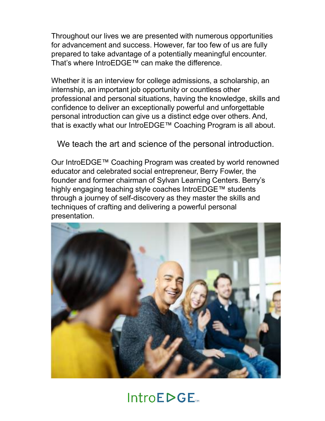Throughout our lives we are presented with numerous opportunities for advancement and success. However, far too few of us are fully prepared to take advantage of a potentially meaningful encounter. That's where IntroEDGE™ can make the difference.

Whether it is an interview for college admissions, a scholarship, an internship, an important job opportunity or countless other professional and personal situations, having the knowledge, skills and confidence to deliver an exceptionally powerful and unforgettable personal introduction can give us a distinct edge over others. And, that is exactly what our IntroEDGE™ Coaching Program is all about.

We teach the art and science of the personal introduction.

Our IntroEDGE™ Coaching Program was created by world renowned educator and celebrated social entrepreneur, Berry Fowler, the founder and former chairman of Sylvan Learning Centers. Berry's highly engaging teaching style coaches IntroEDGE™ students through a journey of self-discovery as they master the skills and techniques of crafting and delivering a powerful personal presentation.

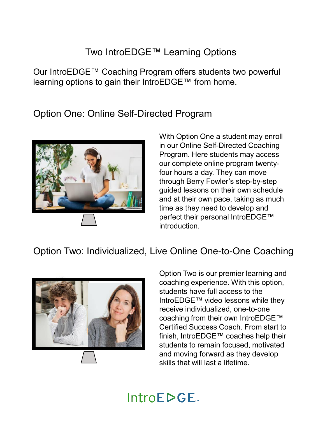### Two IntroEDGE™ Learning Options

Our IntroEDGE™ Coaching Program offers students two powerful learning options to gain their IntroEDGE™ from home.

Option One: Online Self-Directed Program



With Option One a student may enroll in our Online Self-Directed Coaching Program. Here students may access our complete online program twentyfour hours a day. They can move through Berry Fowler's step-by-step guided lessons on their own schedule and at their own pace, taking as much time as they need to develop and perfect their personal IntroEDGE™ introduction.

### Option Two: Individualized, Live Online One-to-One Coaching



Option Two is our premier learning and coaching experience. With this option, students have full access to the IntroEDGE™ video lessons while they receive individualized, one-to-one coaching from their own IntroEDGE™ Certified Success Coach. From start to finish, IntroEDGE<sup>™</sup> coaches help their students to remain focused, motivated and moving forward as they develop skills that will last a lifetime.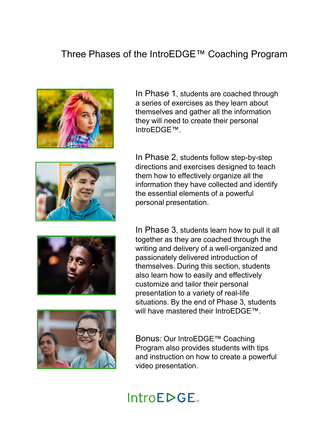#### Three Phases of the IntroEDGE™ Coaching Program



In Phase 1, students are coached through a series of exercises as they learn about themselves and gather all the information they will need to create their personal IntroEDGE<sup>™</sup>.



In Phase 2, students follow step-by-step directions and exercises designed to teach them how to effectively organize all the information they have collected and identify the essential elements of a powerful personal presentation.



In Phase 3, students learn how to pull it all together as they are coached through the writing and delivery of a well-organized and passionately delivered introduction of themselves. During this section, students also learn how to easily and effectively customize and tailor their personal presentation to a variety of real-life situations. By the end of Phase 3, students will have mastered their IntroEDGE<sup>TM</sup>.

Bonus: Our IntroEDGE™ Coaching Program also provides students with tips and instruction on how to create a powerful video presentation.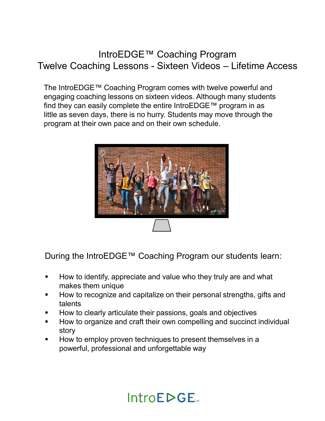#### IntroEDGE™ Coaching Program Twelve Coaching Lessons - Sixteen Videos - Lifetime Access

The IntroEDGE™ Coaching Program comes with twelve powerful and engaging coaching lessons on sixteen videos. Although many students find they can easily complete the entire IntroEDGE  $\text{TM}$  program in as little as seven days, there is no hurry. Students may move through the program at their own pace and on their own schedule.



During the IntroEDGE™ Coaching Program our students learn:

- **How to identify, appreciate and value who they truly are and what** makes them unique
- How to recognize and capitalize on their personal strengths, gifts and talents
- How to clearly articulate their passions, goals and objectives
- How to organize and craft their own compelling and succinct individual story
- How to employ proven techniques to present themselves in a powerful, professional and unforgettable way